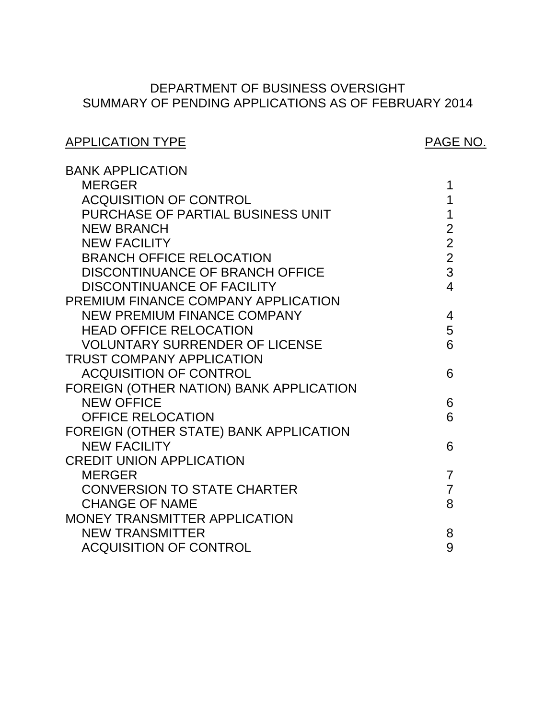# SUMMARY OF PENDING APPLICATIONS AS OF FEBRUARY 2014 DEPARTMENT OF BUSINESS OVERSIGHT

# ACQUISITION OF CONTROL **1** DISCONTINUANCE OF BRANCH OFFICE 3 [NEW PREMIUM FINANCE COMPANY 4](#page-4-0)  VOLUNTARY SURRENDER OF LICENSE 6 ACQUISITION OF CONTROL **6**  FOREIGN (OTHER NATION) BANK APPLICATION FOREIGN (OTHER STATE) BANK APPLICATION CONVERSION TO STATE CHARTER  $\overline{7}$ ACQUISITION OF CONTROL GOOD ACCOUNT AND SUMMARY SUMMARY SUMMARY SUMMARY SUMMARY SUMMARY SUMMARY SUMMARY SUMMAR APPLICATION TYPE APPLICATION TYPE BANK APPLICATION [MERGER 1](#page-1-0)  PREMIUM FINANCE COMPANY APPLICATION TRUST COMPANY APPLICATION CREDIT UNION APPLICATION MONEY TRANSMITTER APPLICATION PURCHASE OF PARTIAL BUSINESS UNIT 1 NEW BRANCH 2 [NEW FACILITY 2](#page-2-0)  BRANCH OFFICE RELOCATION [DISCONTINUANCE OF FACILITY 4](#page-4-0)  HEAD OFFICE RELOCATION 5 NEW OFFICE 6 OFFICE RELOCATION 6 NEW FACILITY 6 MERGER 7 CHANGE OF NAME 8 NEW TRANSMITTER 8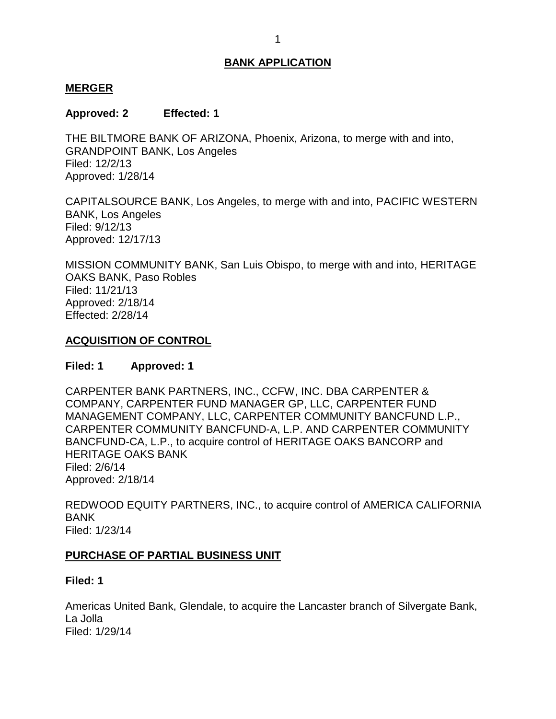#### <span id="page-1-0"></span>**MERGER**

## **Approved: 2 Effected: 1**

 THE BILTMORE BANK OF ARIZONA, Phoenix, Arizona, to merge with and into, GRANDPOINT BANK, Los Angeles Filed: 12/2/13 Approved: 1/28/14

 CAPITALSOURCE BANK, Los Angeles, to merge with and into, PACIFIC WESTERN BANK, Los Angeles Filed: 9/12/13 Approved: 12/17/13

 MISSION COMMUNITY BANK, San Luis Obispo, to merge with and into, HERITAGE OAKS BANK, Paso Robles Filed: 11/21/13 Approved: 2/18/14 Effected: 2/28/14

# **ACQUISITION OF CONTROL**

# **Filed: 1 Approved: 1**

 CARPENTER BANK PARTNERS, INC., CCFW, INC. DBA CARPENTER & CARPENTER COMMUNITY BANCFUND-A, L.P. AND CARPENTER COMMUNITY BANCFUND-CA, L.P., to acquire control of HERITAGE OAKS BANCORP and HERITAGE OAKS BANK COMPANY, CARPENTER FUND MANAGER GP, LLC, CARPENTER FUND MANAGEMENT COMPANY, LLC, CARPENTER COMMUNITY BANCFUND L.P., Filed: 2/6/14 Approved: 2/18/14

 REDWOOD EQUITY PARTNERS, INC., to acquire control of AMERICA CALIFORNIA BANK Filed: 1/23/14

#### **PURCHASE OF PARTIAL BUSINESS UNIT**

#### **Filed: 1**

 Americas United Bank, Glendale, to acquire the Lancaster branch of Silvergate Bank, La Jolla Filed: 1/29/14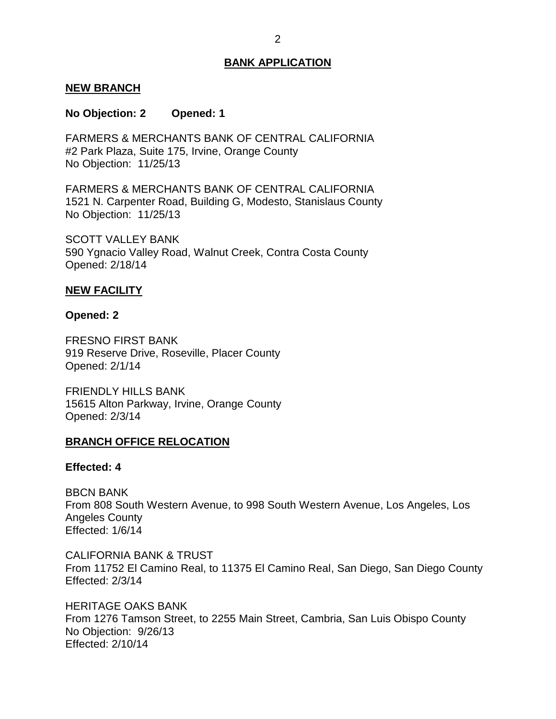#### <span id="page-2-0"></span>**NEW BRANCH**

#### **No Objection: 2 Opened: 1**

 FARMERS & MERCHANTS BANK OF CENTRAL CALIFORNIA #2 Park Plaza, Suite 175, Irvine, Orange County No Objection: 11/25/13

 FARMERS & MERCHANTS BANK OF CENTRAL CALIFORNIA 1521 N. Carpenter Road, Building G, Modesto, Stanislaus County No Objection: 11/25/13

 SCOTT VALLEY BANK 590 Ygnacio Valley Road, Walnut Creek, Contra Costa County Opened: 2/18/14

#### **NEW FACILITY**

#### **Opened: 2**

 FRESNO FIRST BANK 919 Reserve Drive, Roseville, Placer County Opened: 2/1/14

 FRIENDLY HILLS BANK 15615 Alton Parkway, Irvine, Orange County Opened: 2/3/14

#### **BRANCH OFFICE RELOCATION**

#### **Effected: 4**

 From 808 South Western Avenue, to 998 South Western Avenue, Los Angeles, Los BBCN BANK Angeles County Effected: 1/6/14

 CALIFORNIA BANK & TRUST From 11752 El Camino Real, to 11375 El Camino Real, San Diego, San Diego County Effected: 2/3/14

 HERITAGE OAKS BANK From 1276 Tamson Street, to 2255 Main Street, Cambria, San Luis Obispo County No Objection: 9/26/13 Effected: 2/10/14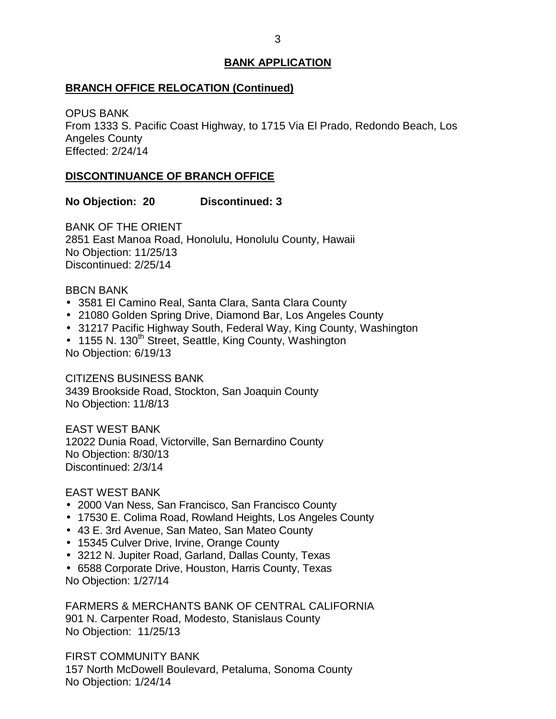### <span id="page-3-0"></span>**BRANCH OFFICE RELOCATION (Continued)**

 From 1333 S. Pacific Coast Highway, to 1715 Via El Prado, Redondo Beach, Los OPUS BANK Angeles County Effected: 2/24/14

### **DISCONTINUANCE OF BRANCH OFFICE**

### **No Objection: 20 Discontinued: 3**

 BANK OF THE ORIENT 2851 East Manoa Road, Honolulu, Honolulu County, Hawaii No Objection: 11/25/13 Discontinued: 2/25/14

### BBCN BANK

- 3581 El Camino Real, Santa Clara, Santa Clara County
- 21080 Golden Spring Drive, Diamond Bar, Los Angeles County
- 31217 Pacific Highway South, Federal Way, King County, Washington
- 1155 N. 130<sup>th</sup> Street, Seattle, King County, Washington

No Objection: 6/19/13

 CITIZENS BUSINESS BANK 3439 Brookside Road, Stockton, San Joaquin County No Objection: 11/8/13

 12022 Dunia Road, Victorville, San Bernardino County EAST WEST BANK No Objection: 8/30/13 Discontinued: 2/3/14

#### EAST WEST BANK

- 2000 Van Ness, San Francisco, San Francisco County
- 17530 E. Colima Road, Rowland Heights, Los Angeles County
- 43 E. 3rd Avenue, San Mateo, San Mateo County
- 15345 Culver Drive, Irvine, Orange County
- 3212 N. Jupiter Road, Garland, Dallas County, Texas
- 6588 Corporate Drive, Houston, Harris County, Texas No Objection: 1/27/14

 FARMERS & MERCHANTS BANK OF CENTRAL CALIFORNIA 901 N. Carpenter Road, Modesto, Stanislaus County No Objection: 11/25/13

 157 North McDowell Boulevard, Petaluma, Sonoma County FIRST COMMUNITY BANK No Objection: 1/24/14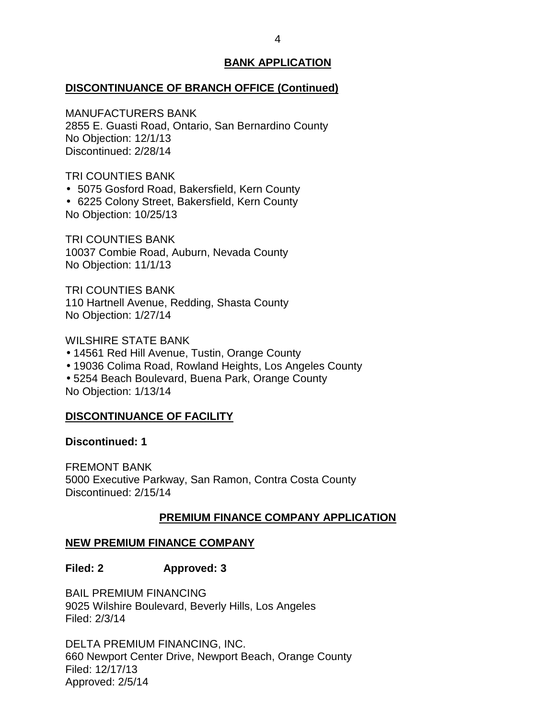#### <span id="page-4-0"></span>**DISCONTINUANCE OF BRANCH OFFICE (Continued)**

MANUFACTURERS BANK

 2855 E. Guasti Road, Ontario, San Bernardino County No Objection: 12/1/13 Discontinued: 2/28/14

TRI COUNTIES BANK

5075 Gosford Road, Bakersfield, Kern County

 6225 Colony Street, Bakersfield, Kern County No Objection: 10/25/13

 10037 Combie Road, Auburn, Nevada County TRI COUNTIES BANK No Objection: 11/1/13

 110 Hartnell Avenue, Redding, Shasta County TRI COUNTIES BANK No Objection: 1/27/14

WILSHIRE STATE BANK

- 14561 Red Hill Avenue, Tustin, Orange County
- 19036 Colima Road, Rowland Heights, Los Angeles County

 5254 Beach Boulevard, Buena Park, Orange County No Objection: 1/13/14

#### **DISCONTINUANCE OF FACILITY**

**Discontinued: 1** 

 5000 Executive Parkway, San Ramon, Contra Costa County FREMONT BANK Discontinued: 2/15/14

#### **PREMIUM FINANCE COMPANY APPLICATION**

## **NEW PREMIUM FINANCE COMPANY**

#### **Filed: 2 Approved: 3**

 BAIL PREMIUM FINANCING 9025 Wilshire Boulevard, Beverly Hills, Los Angeles Filed: 2/3/14

 DELTA PREMIUM FINANCING, INC. 660 Newport Center Drive, Newport Beach, Orange County Filed: 12/17/13 Approved: 2/5/14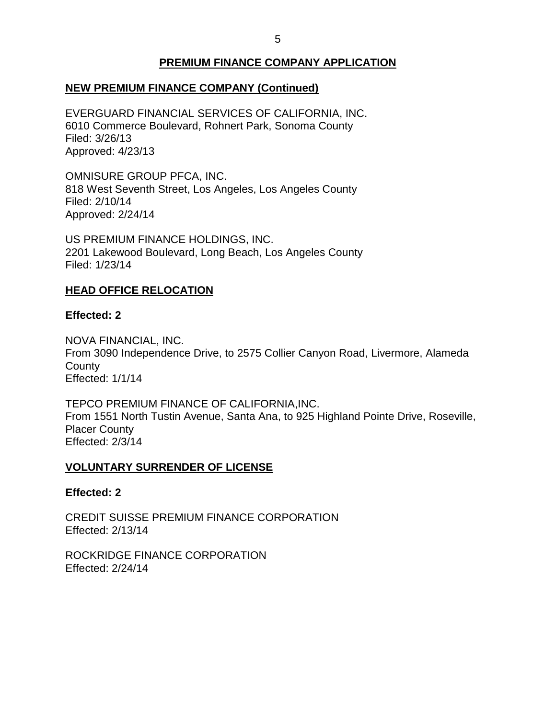# **PREMIUM FINANCE COMPANY APPLICATION**

# <span id="page-5-0"></span> **NEW PREMIUM FINANCE COMPANY (Continued)**

 6010 Commerce Boulevard, Rohnert Park, Sonoma County EVERGUARD FINANCIAL SERVICES OF CALIFORNIA, INC. Filed: 3/26/13 Approved: 4/23/13

 OMNISURE GROUP PFCA, INC. 818 West Seventh Street, Los Angeles, Los Angeles County Filed: 2/10/14 Approved: 2/24/14

 US PREMIUM FINANCE HOLDINGS, INC. 2201 Lakewood Boulevard, Long Beach, Los Angeles County Filed: 1/23/14

### **HEAD OFFICE RELOCATION**

#### **Effected: 2**

 From 3090 Independence Drive, to 2575 Collier Canyon Road, Livermore, Alameda NOVA FINANCIAL, INC. **County** Effected: 1/1/14

 TEPCO PREMIUM FINANCE OF CALIFORNIA,INC. From 1551 North Tustin Avenue, Santa Ana, to 925 Highland Pointe Drive, Roseville, Placer County Effected: 2/3/14

#### **VOLUNTARY SURRENDER OF LICENSE**

#### **Effected: 2**

 CREDIT SUISSE PREMIUM FINANCE CORPORATION Effected: 2/13/14

 ROCKRIDGE FINANCE CORPORATION Effected: 2/24/14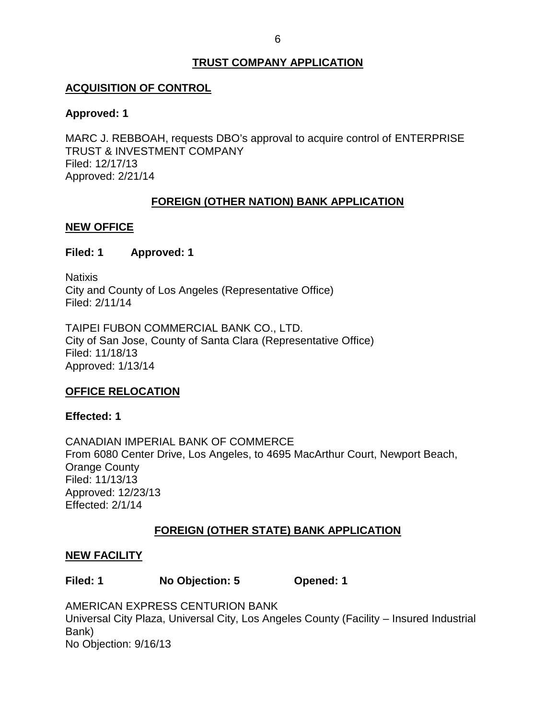# **TRUST COMPANY APPLICATION**

## <span id="page-6-0"></span>**ACQUISITION OF CONTROL**

### **Approved: 1**

 MARC J. REBBOAH, requests DBO's approval to acquire control of ENTERPRISE TRUST & INVESTMENT COMPANY Filed: 12/17/13 Approved: 2/21/14

# **FOREIGN (OTHER NATION) BANK APPLICATION**

### **NEW OFFICE**

### **Filed: 1 Approved: 1**

 City and County of Los Angeles (Representative Office) **Natixis** Filed: 2/11/14

 TAIPEI FUBON COMMERCIAL BANK CO., LTD. City of San Jose, County of Santa Clara (Representative Office) Filed: 11/18/13 Approved: 1/13/14

# **OFFICE RELOCATION**

#### **Effected: 1**

 CANADIAN IMPERIAL BANK OF COMMERCE From 6080 Center Drive, Los Angeles, to 4695 MacArthur Court, Newport Beach, Orange County Filed: 11/13/13 Approved: 12/23/13 Effected: 2/1/14

# **FOREIGN (OTHER STATE) BANK APPLICATION**

#### **NEW FACILITY**

| Filed: 1 | No Objection: 5 | Opened: 1 |
|----------|-----------------|-----------|
|----------|-----------------|-----------|

 Universal City Plaza, Universal City, Los Angeles County (Facility – Insured Industrial AMERICAN EXPRESS CENTURION BANK Bank) No Objection: 9/16/13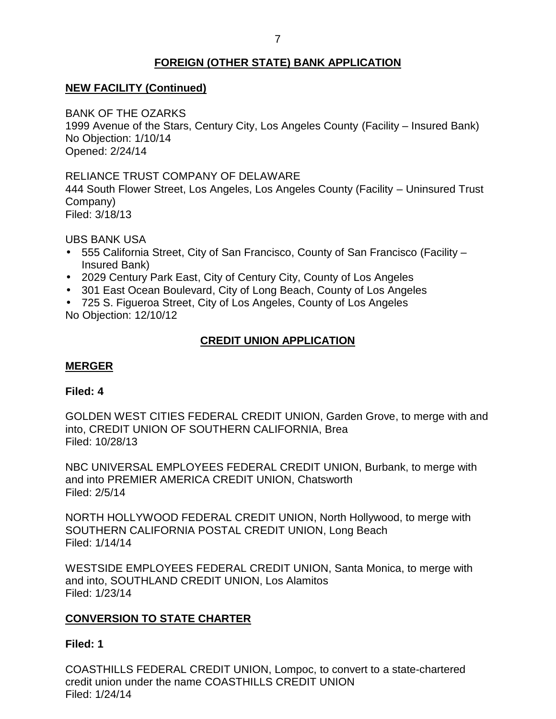# **FOREIGN (OTHER STATE) BANK APPLICATION**

# <span id="page-7-0"></span> **NEW FACILITY (Continued)**

BANK OF THE OZARKS

 1999 Avenue of the Stars, Century City, Los Angeles County (Facility – Insured Bank) No Objection: 1/10/14 Opened: 2/24/14

# RELIANCE TRUST COMPANY OF DELAWARE

 444 South Flower Street, Los Angeles, Los Angeles County (Facility – Uninsured Trust Company)

Filed: 3/18/13

UBS BANK USA

- 555 California Street, City of San Francisco, County of San Francisco (Facility Insured Bank)
- 2029 Century Park East, City of Century City, County of Los Angeles
- 301 East Ocean Boulevard, City of Long Beach, County of Los Angeles
- 725 S. Figueroa Street, City of Los Angeles, County of Los Angeles No Objection: 12/10/12

# **CREDIT UNION APPLICATION**

# **MERGER**

#### **Filed: 4**

 GOLDEN WEST CITIES FEDERAL CREDIT UNION, Garden Grove, to merge with and into, CREDIT UNION OF SOUTHERN CALIFORNIA, Brea Filed: 10/28/13

 NBC UNIVERSAL EMPLOYEES FEDERAL CREDIT UNION, Burbank, to merge with and into PREMIER AMERICA CREDIT UNION, Chatsworth Filed: 2/5/14

 NORTH HOLLYWOOD FEDERAL CREDIT UNION, North Hollywood, to merge with SOUTHERN CALIFORNIA POSTAL CREDIT UNION, Long Beach Filed: 1/14/14

 WESTSIDE EMPLOYEES FEDERAL CREDIT UNION, Santa Monica, to merge with and into, SOUTHLAND CREDIT UNION, Los Alamitos Filed: 1/23/14

# **CONVERSION TO STATE CHARTER**

#### **Filed: 1**

 COASTHILLS FEDERAL CREDIT UNION, Lompoc, to convert to a state-chartered credit union under the name COASTHILLS CREDIT UNION Filed: 1/24/14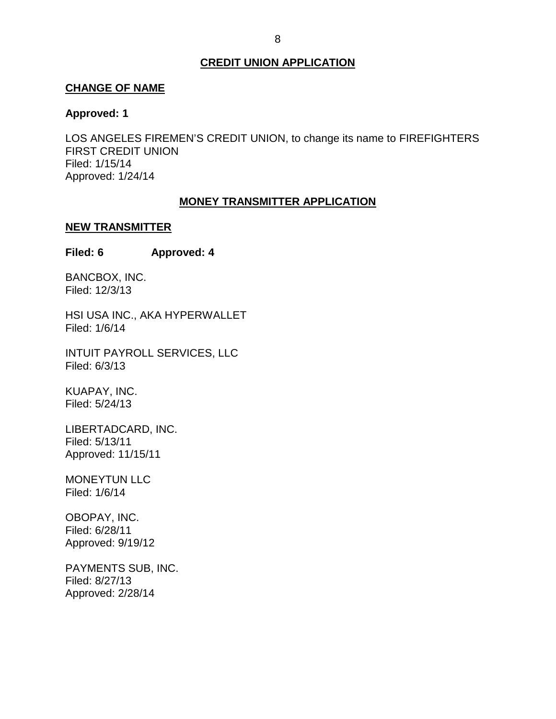#### **CREDIT UNION APPLICATION**

#### <span id="page-8-0"></span>**CHANGE OF NAME**

#### **Approved: 1**

 LOS ANGELES FIREMEN'S CREDIT UNION, to change its name to FIREFIGHTERS FIRST CREDIT UNION Filed: 1/15/14 Approved: 1/24/14

#### **MONEY TRANSMITTER APPLICATION**

#### **NEW TRANSMITTER**

**Filed: 6 Approved: 4** 

BANCBOX, INC. Filed: 12/3/13

 HSI USA INC., AKA HYPERWALLET Filed: 1/6/14

 INTUIT PAYROLL SERVICES, LLC Filed: 6/3/13

KUAPAY, INC. Filed: 5/24/13

LIBERTADCARD, INC. Filed: 5/13/11 Approved: 11/15/11

MONEYTUN LLC Filed: 1/6/14

OBOPAY, INC. Filed: 6/28/11 Approved: 9/19/12

 PAYMENTS SUB, INC. Filed: 8/27/13 Approved: 2/28/14